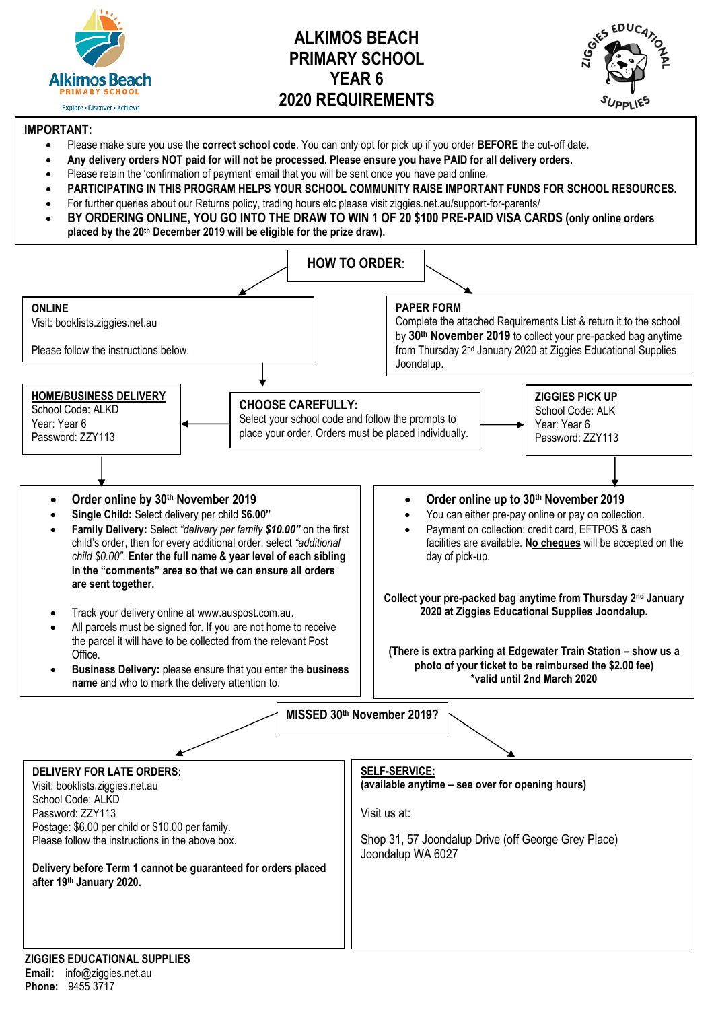

# **ALKIMOS BEACH PRIMARY SCHOOL YEAR 6 2020 REQUIREMENTS**



# **IMPORTANT:**

- Please make sure you use the **correct school code**. You can only opt for pick up if you order **BEFORE** the cut-off date.
- **Any delivery orders NOT paid for will not be processed. Please ensure you have PAID for all delivery orders.**
- Please retain the 'confirmation of payment' email that you will be sent once you have paid online.
- **PARTICIPATING IN THIS PROGRAM HELPS YOUR SCHOOL COMMUNITY RAISE IMPORTANT FUNDS FOR SCHOOL RESOURCES.**
- For further queries about our Returns policy, trading hours etc please visit ziggies.net.au/support-for-parents/
- **BY ORDERING ONLINE, YOU GO INTO THE DRAW TO WIN 1 OF 20 \$100 PRE-PAID VISA CARDS (only online orders placed by the 20th December 2019 will be eligible for the prize draw).**

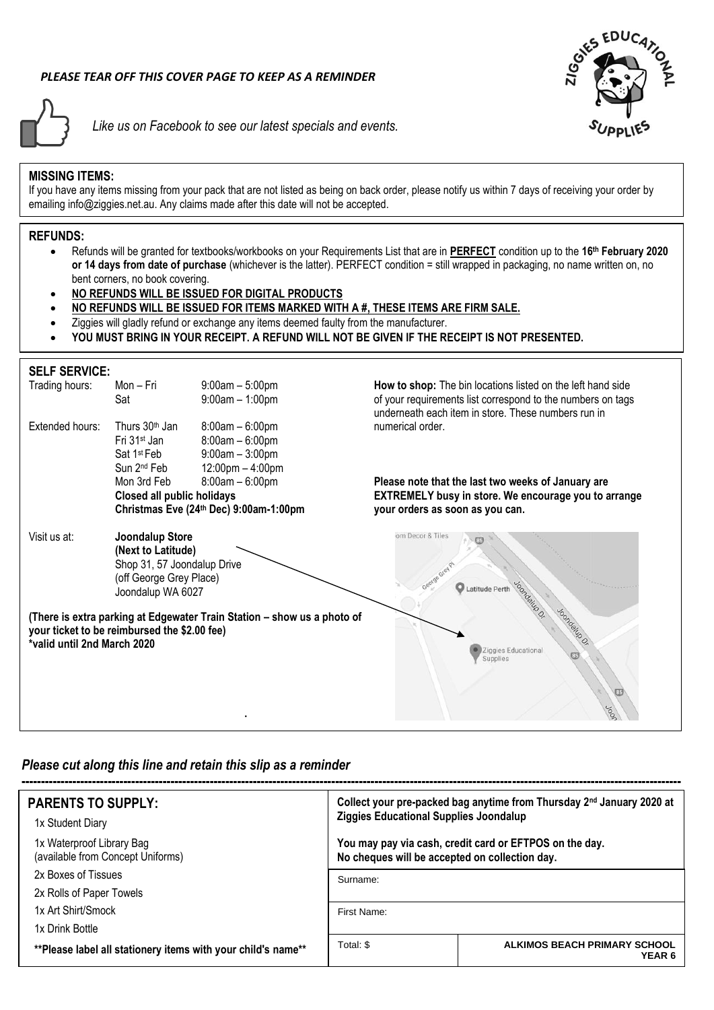# *PLEASE TEAR OFF THIS COVER PAGE TO KEEP AS A REMINDER*



*Like us on Facebook to see our latest specials and events.*



# **MISSING ITEMS:**

If you have any items missing from your pack that are not listed as being on back order, please notify us within 7 days of receiving your order by emailing info@ziggies.net.au. Any claims made after this date will not be accepted.

#### **REFUNDS:**

- Refunds will be granted for textbooks/workbooks on your Requirements List that are in **PERFECT** condition up to the **16 th February 2020 or 14 days from date of purchase** (whichever is the latter). PERFECT condition = still wrapped in packaging, no name written on, no bent corners, no book covering.
- **NO REFUNDS WILL BE ISSUED FOR DIGITAL PRODUCTS**
- **NO REFUNDS WILL BE ISSUED FOR ITEMS MARKED WITH A #, THESE ITEMS ARE FIRM SALE.**
- Ziggies will gladly refund or exchange any items deemed faulty from the manufacturer.
- **YOU MUST BRING IN YOUR RECEIPT. A REFUND WILL NOT BE GIVEN IF THE RECEIPT IS NOT PRESENTED.**

# **SELF SERVICE:**

| Mon – Fri<br>Sat                                                                                                                                       | $9:00$ am $-5:00$ pm<br>$9:00$ am $-1:00$ pm                                       | How to shop: The bin locations listed on the left hand side<br>of your requirements list correspond to the numbers on tags<br>underneath each item in store. These numbers run in            |
|--------------------------------------------------------------------------------------------------------------------------------------------------------|------------------------------------------------------------------------------------|----------------------------------------------------------------------------------------------------------------------------------------------------------------------------------------------|
| Thurs 30 <sup>th</sup> Jan<br>Fri 31 <sup>st</sup> Jan<br>Sat 1 <sup>st</sup> Feb<br>Sun 2 <sup>nd</sup> Feb                                           | $8:00am - 6:00pm$<br>$8:00am - 6:00pm$<br>$9:00$ am $-3:00$ pm<br>12:00pm - 4:00pm | numerical order.                                                                                                                                                                             |
| Mon 3rd Feb                                                                                                                                            | $8:00am - 6:00pm$                                                                  | Please note that the last two weeks of January are<br><b>EXTREMELY busy in store. We encourage you to arrange</b><br>your orders as soon as you can.                                         |
|                                                                                                                                                        |                                                                                    | om Decor & Tiles<br>aorge Grey P1<br><b>Loondalup O.</b><br>Latitude Perth                                                                                                                   |
| (There is extra parking at Edgewater Train Station – show us a photo of<br>your ticket to be reimbursed the \$2.00 fee)<br>*valid until 2nd March 2020 |                                                                                    | Joondalup Or<br>Ziggies Educational<br>Supplies                                                                                                                                              |
|                                                                                                                                                        |                                                                                    | Closed all public holidays<br>Christmas Eve (24th Dec) 9:00am-1:00pm<br>Joondalup Store<br>(Next to Latitude)<br>Shop 31, 57 Joondalup Drive<br>(off George Grey Place)<br>Joondalup WA 6027 |

# *Please cut along this line and retain this slip as a reminder*

| <b>PARENTS TO SUPPLY:</b>                                      | Collect your pre-packed bag anytime from Thursday 2 <sup>nd</sup> January 2020 at<br>Ziggies Educational Supplies Joondalup |                                               |  |  |  |
|----------------------------------------------------------------|-----------------------------------------------------------------------------------------------------------------------------|-----------------------------------------------|--|--|--|
| 1x Student Diary                                               |                                                                                                                             |                                               |  |  |  |
| 1x Waterproof Library Bag<br>(available from Concept Uniforms) | You may pay via cash, credit card or EFTPOS on the day.<br>No cheques will be accepted on collection day.<br>Surname:       |                                               |  |  |  |
| 2x Boxes of Tissues                                            |                                                                                                                             |                                               |  |  |  |
| 2x Rolls of Paper Towels                                       |                                                                                                                             |                                               |  |  |  |
| 1x Art Shirt/Smock                                             | First Name:                                                                                                                 |                                               |  |  |  |
| 1x Drink Bottle                                                |                                                                                                                             |                                               |  |  |  |
| **Please label all stationery items with your child's name**   | Total: \$                                                                                                                   | ALKIMOS BEACH PRIMARY SCHOOL<br><b>YEAR 6</b> |  |  |  |